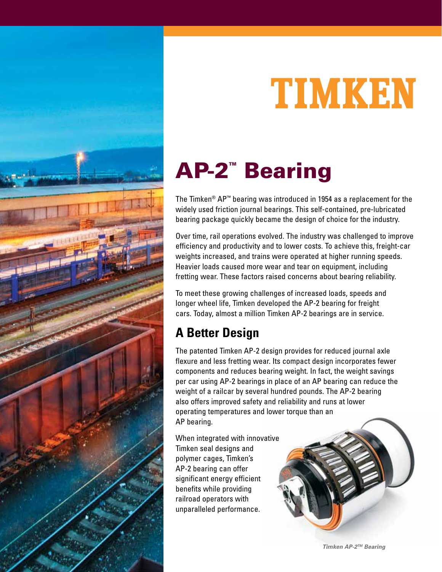

# TIMKEN

## AP-2™ Bearing

The Timken® AP™ bearing was introduced in 1954 as a replacement for the widely used friction journal bearings. This self-contained, pre-lubricated bearing package quickly became the design of choice for the industry.

Over time, rail operations evolved. The industry was challenged to improve efficiency and productivity and to lower costs. To achieve this, freight-car weights increased, and trains were operated at higher running speeds. Heavier loads caused more wear and tear on equipment, including fretting wear. These factors raised concerns about bearing reliability.

To meet these growing challenges of increased loads, speeds and longer wheel life, Timken developed the AP-2 bearing for freight cars. Today, almost a million Timken AP-2 bearings are in service.

### **A Better Design**

The patented Timken AP-2 design provides for reduced journal axle flexure and less fretting wear. Its compact design incorporates fewer components and reduces bearing weight. In fact, the weight savings per car using AP-2 bearings in place of an AP bearing can reduce the weight of a railcar by several hundred pounds. The AP-2 bearing also offers improved safety and reliability and runs at lower operating temperatures and lower torque than an AP bearing.

When integrated with innovative Timken seal designs and polymer cages, Timken's AP-2 bearing can offer significant energy efficient benefits while providing railroad operators with unparalleled performance.